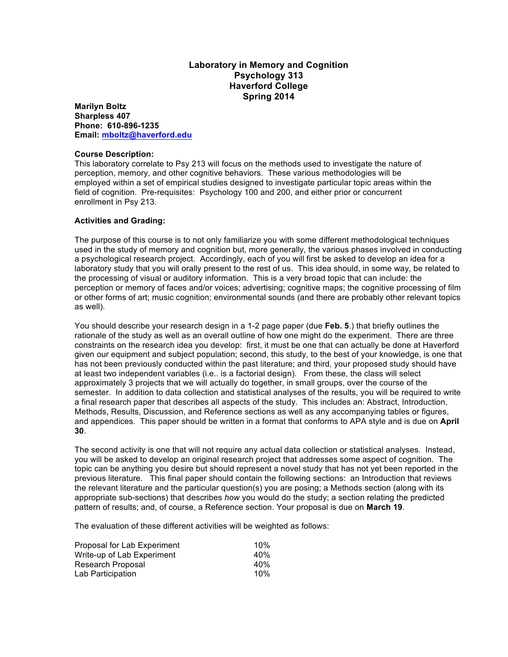## **Laboratory in Memory and Cognition Psychology 313 Haverford College Spring 2014**

**Marilyn Boltz Sharpless 407 Phone: 610-896-1235 Email: mboltz@haverford.edu**

## **Course Description:**

This laboratory correlate to Psy 213 will focus on the methods used to investigate the nature of perception, memory, and other cognitive behaviors. These various methodologies will be employed within a set of empirical studies designed to investigate particular topic areas within the field of cognition. Pre-requisites: Psychology 100 and 200, and either prior or concurrent enrollment in Psy 213.

## **Activities and Grading:**

The purpose of this course is to not only familiarize you with some different methodological techniques used in the study of memory and cognition but, more generally, the various phases involved in conducting a psychological research project. Accordingly, each of you will first be asked to develop an idea for a laboratory study that you will orally present to the rest of us. This idea should, in some way, be related to the processing of visual or auditory information. This is a very broad topic that can include: the perception or memory of faces and/or voices; advertising; cognitive maps; the cognitive processing of film or other forms of art; music cognition; environmental sounds (and there are probably other relevant topics as well).

You should describe your research design in a 1-2 page paper (due **Feb. 5**.) that briefly outlines the rationale of the study as well as an overall outline of how one might do the experiment. There are three constraints on the research idea you develop: first, it must be one that can actually be done at Haverford given our equipment and subject population; second, this study, to the best of your knowledge, is one that has not been previously conducted within the past literature; and third, your proposed study should have at least two independent variables (i.e.. is a factorial design). From these, the class will select approximately 3 projects that we will actually do together, in small groups, over the course of the semester. In addition to data collection and statistical analyses of the results, you will be required to write a final research paper that describes all aspects of the study. This includes an: Abstract, Introduction, Methods, Results, Discussion, and Reference sections as well as any accompanying tables or figures, and appendices. This paper should be written in a format that conforms to APA style and is due on **April 30**.

The second activity is one that will not require any actual data collection or statistical analyses. Instead, you will be asked to develop an original research project that addresses some aspect of cognition. The topic can be anything you desire but should represent a novel study that has not yet been reported in the previous literature. This final paper should contain the following sections: an Introduction that reviews the relevant literature and the particular question(s) you are posing; a Methods section (along with its appropriate sub-sections) that describes *how* you would do the study; a section relating the predicted pattern of results; and, of course, a Reference section. Your proposal is due on **March 19**.

The evaluation of these different activities will be weighted as follows:

| Proposal for Lab Experiment | 10%             |
|-----------------------------|-----------------|
| Write-up of Lab Experiment  | 40 <sub>%</sub> |
| Research Proposal           | 40 <sub>%</sub> |
| Lab Participation           | 10%             |